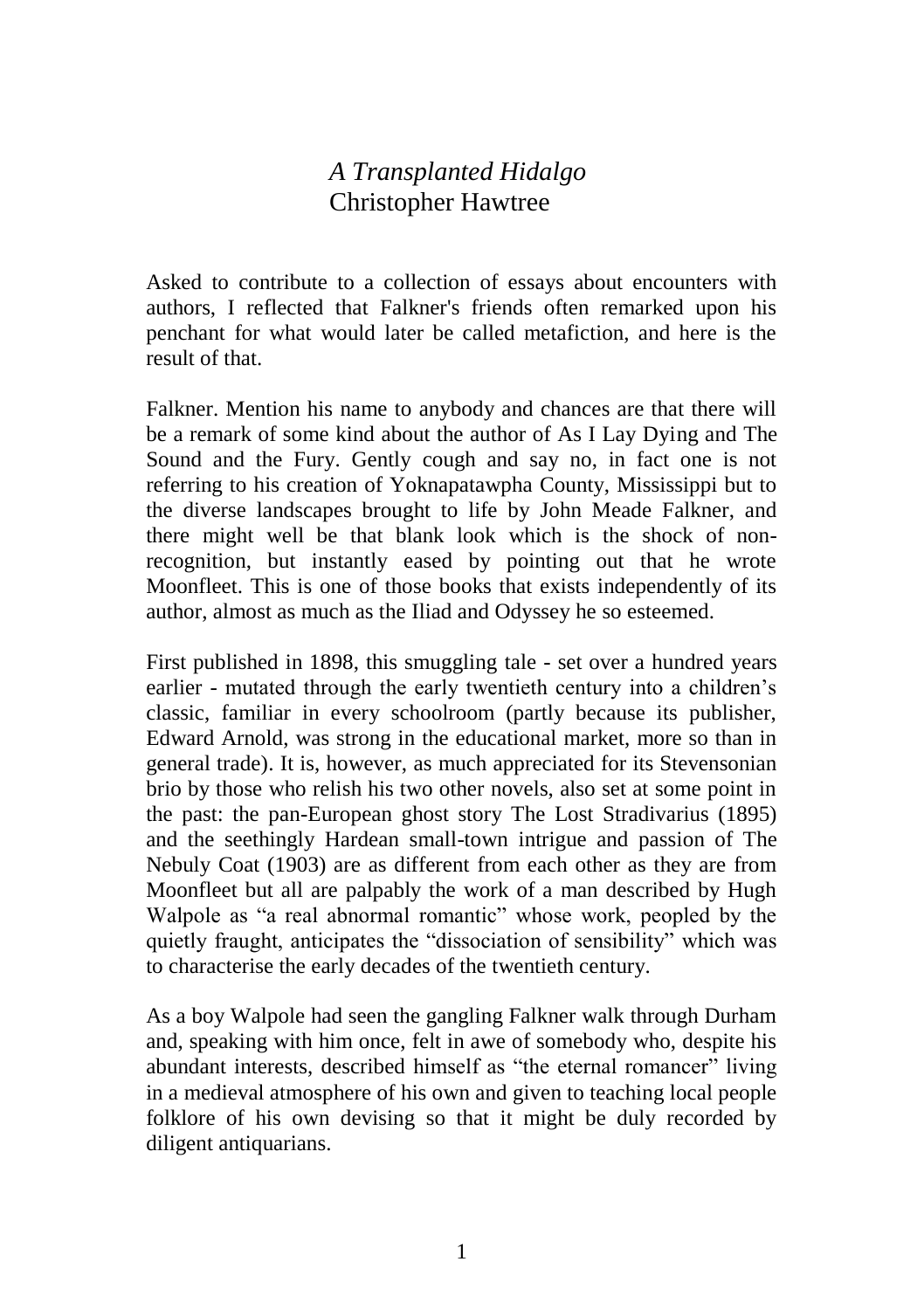## *A Transplanted Hidalgo* Christopher Hawtree

Asked to contribute to a collection of essays about encounters with authors, I reflected that Falkner's friends often remarked upon his penchant for what would later be called metafiction, and here is the result of that.

Falkner. Mention his name to anybody and chances are that there will be a remark of some kind about the author of As I Lay Dying and The Sound and the Fury. Gently cough and say no, in fact one is not referring to his creation of Yoknapatawpha County, Mississippi but to the diverse landscapes brought to life by John Meade Falkner, and there might well be that blank look which is the shock of nonrecognition, but instantly eased by pointing out that he wrote Moonfleet. This is one of those books that exists independently of its author, almost as much as the Iliad and Odyssey he so esteemed.

First published in 1898, this smuggling tale - set over a hundred years earlier - mutated through the early twentieth century into a children's classic, familiar in every schoolroom (partly because its publisher, Edward Arnold, was strong in the educational market, more so than in general trade). It is, however, as much appreciated for its Stevensonian brio by those who relish his two other novels, also set at some point in the past: the pan-European ghost story The Lost Stradivarius (1895) and the seethingly Hardean small-town intrigue and passion of The Nebuly Coat (1903) are as different from each other as they are from Moonfleet but all are palpably the work of a man described by Hugh Walpole as "a real abnormal romantic" whose work, peopled by the quietly fraught, anticipates the "dissociation of sensibility" which was to characterise the early decades of the twentieth century.

As a boy Walpole had seen the gangling Falkner walk through Durham and, speaking with him once, felt in awe of somebody who, despite his abundant interests, described himself as "the eternal romancer" living in a medieval atmosphere of his own and given to teaching local people folklore of his own devising so that it might be duly recorded by diligent antiquarians.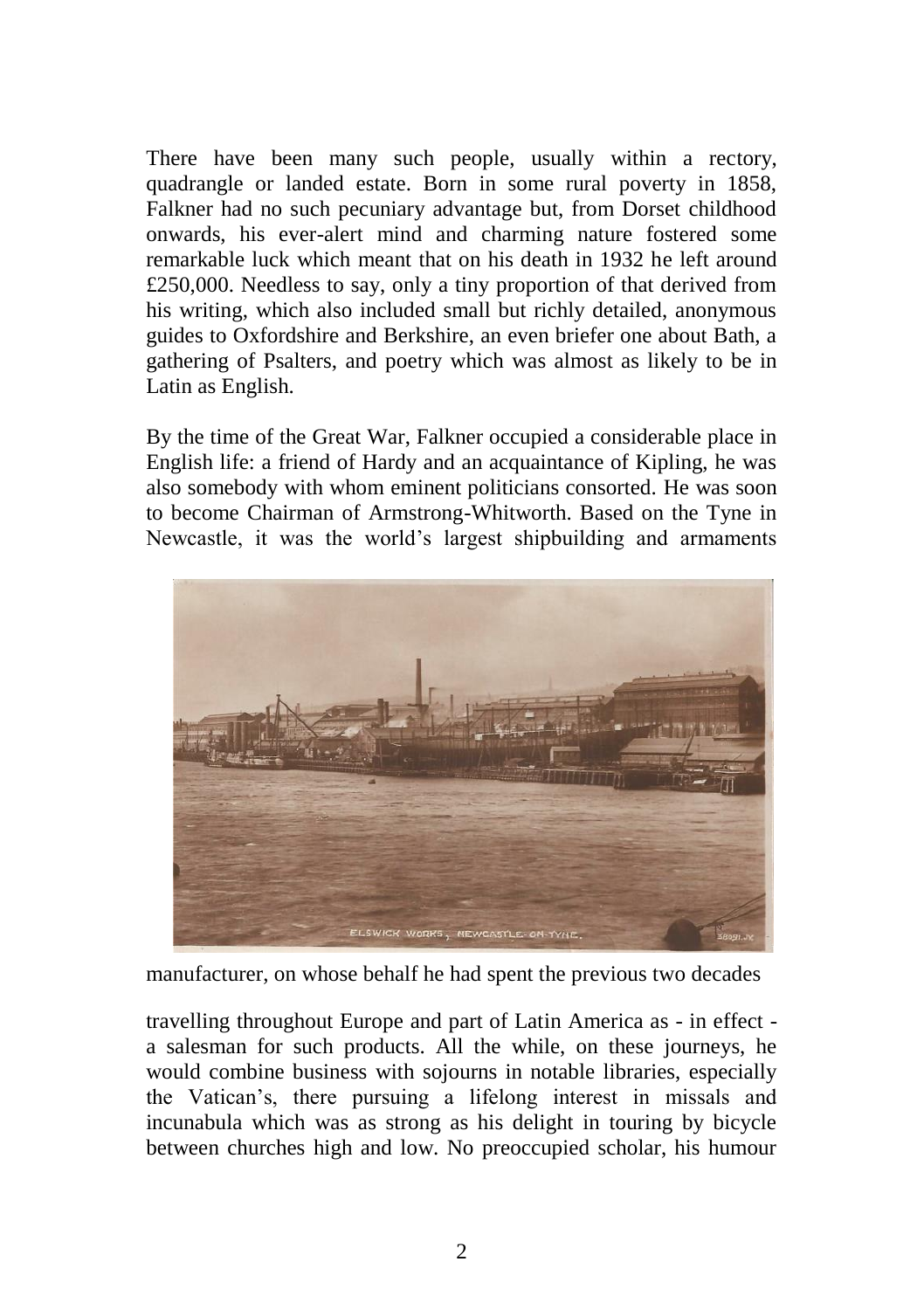There have been many such people, usually within a rectory, quadrangle or landed estate. Born in some rural poverty in 1858, Falkner had no such pecuniary advantage but, from Dorset childhood onwards, his ever-alert mind and charming nature fostered some remarkable luck which meant that on his death in 1932 he left around £250,000. Needless to say, only a tiny proportion of that derived from his writing, which also included small but richly detailed, anonymous guides to Oxfordshire and Berkshire, an even briefer one about Bath, a gathering of Psalters, and poetry which was almost as likely to be in Latin as English.

By the time of the Great War, Falkner occupied a considerable place in English life: a friend of Hardy and an acquaintance of Kipling, he was also somebody with whom eminent politicians consorted. He was soon to become Chairman of Armstrong-Whitworth. Based on the Tyne in Newcastle, it was the world's largest shipbuilding and armaments



manufacturer, on whose behalf he had spent the previous two decades

travelling throughout Europe and part of Latin America as - in effect a salesman for such products. All the while, on these journeys, he would combine business with sojourns in notable libraries, especially the Vatican's, there pursuing a lifelong interest in missals and incunabula which was as strong as his delight in touring by bicycle between churches high and low. No preoccupied scholar, his humour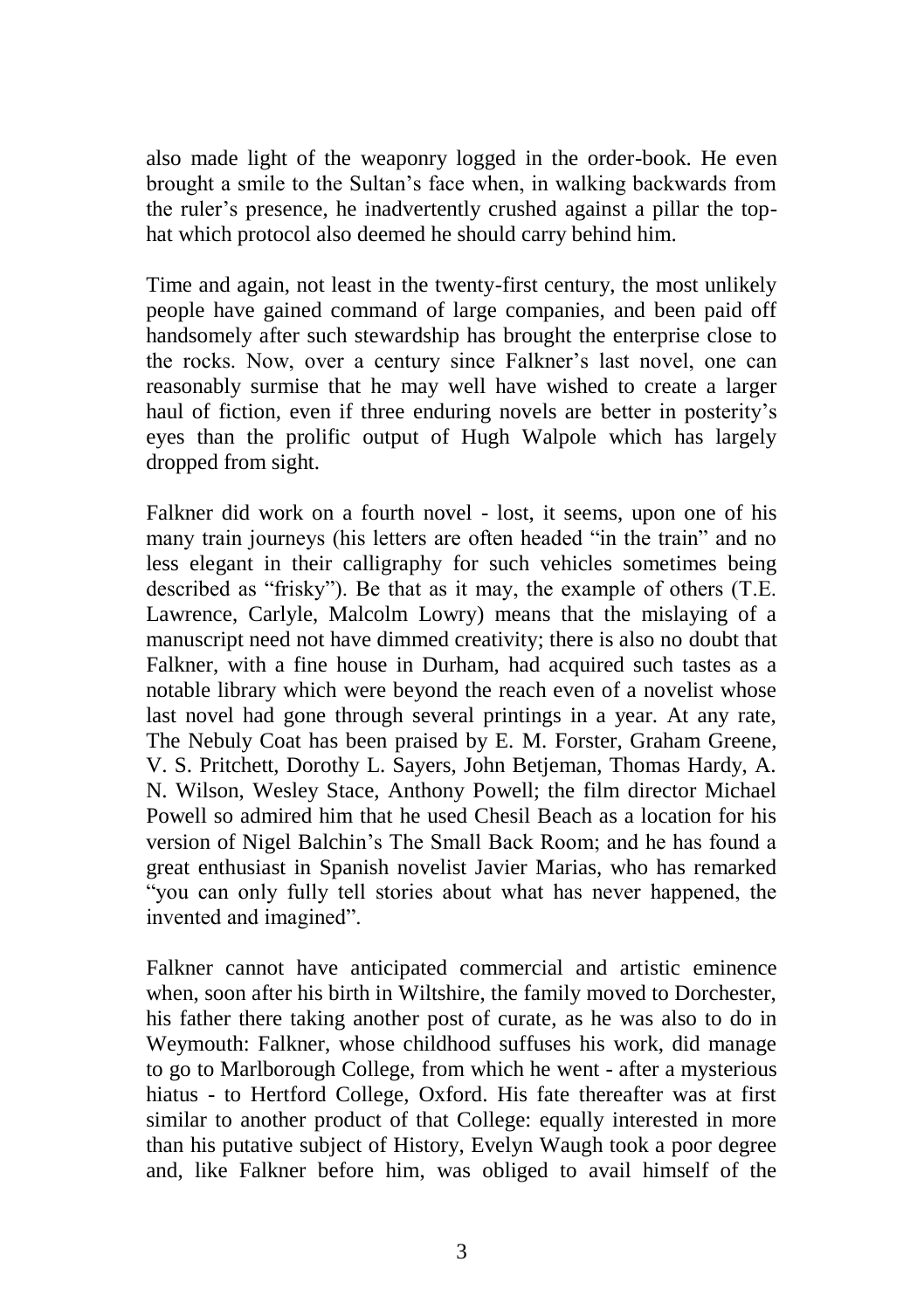also made light of the weaponry logged in the order-book. He even brought a smile to the Sultan's face when, in walking backwards from the ruler's presence, he inadvertently crushed against a pillar the tophat which protocol also deemed he should carry behind him.

Time and again, not least in the twenty-first century, the most unlikely people have gained command of large companies, and been paid off handsomely after such stewardship has brought the enterprise close to the rocks. Now, over a century since Falkner's last novel, one can reasonably surmise that he may well have wished to create a larger haul of fiction, even if three enduring novels are better in posterity's eyes than the prolific output of Hugh Walpole which has largely dropped from sight.

Falkner did work on a fourth novel - lost, it seems, upon one of his many train journeys (his letters are often headed "in the train" and no less elegant in their calligraphy for such vehicles sometimes being described as "frisky"). Be that as it may, the example of others (T.E. Lawrence, Carlyle, Malcolm Lowry) means that the mislaying of a manuscript need not have dimmed creativity; there is also no doubt that Falkner, with a fine house in Durham, had acquired such tastes as a notable library which were beyond the reach even of a novelist whose last novel had gone through several printings in a year. At any rate, The Nebuly Coat has been praised by E. M. Forster, Graham Greene, V. S. Pritchett, Dorothy L. Sayers, John Betjeman, Thomas Hardy, A. N. Wilson, Wesley Stace, Anthony Powell; the film director Michael Powell so admired him that he used Chesil Beach as a location for his version of Nigel Balchin's The Small Back Room; and he has found a great enthusiast in Spanish novelist Javier Marias, who has remarked "you can only fully tell stories about what has never happened, the invented and imagined".

Falkner cannot have anticipated commercial and artistic eminence when, soon after his birth in Wiltshire, the family moved to Dorchester, his father there taking another post of curate, as he was also to do in Weymouth: Falkner, whose childhood suffuses his work, did manage to go to Marlborough College, from which he went - after a mysterious hiatus - to Hertford College, Oxford. His fate thereafter was at first similar to another product of that College: equally interested in more than his putative subject of History, Evelyn Waugh took a poor degree and, like Falkner before him, was obliged to avail himself of the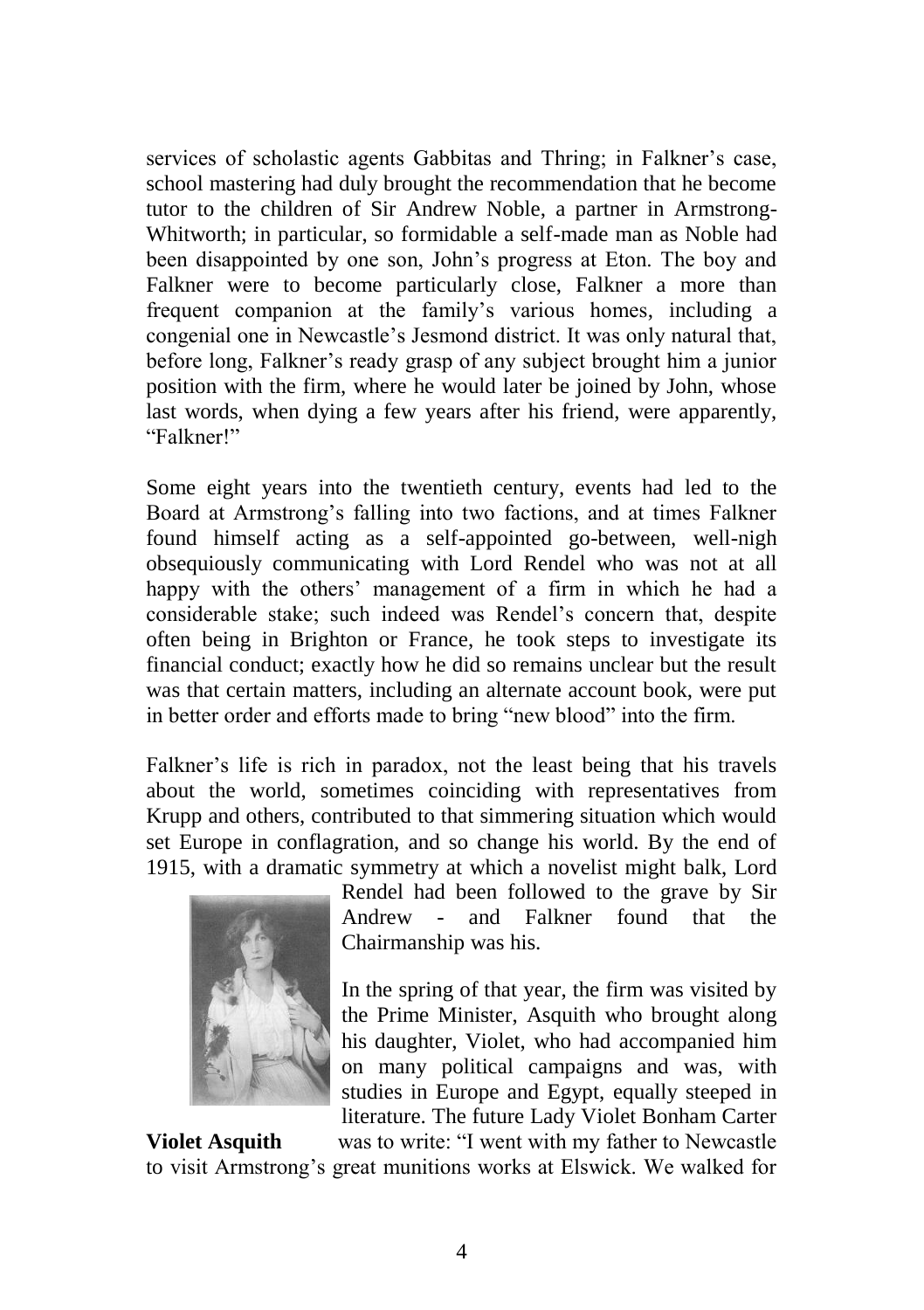services of scholastic agents Gabbitas and Thring; in Falkner's case, school mastering had duly brought the recommendation that he become tutor to the children of Sir Andrew Noble, a partner in Armstrong-Whitworth; in particular, so formidable a self-made man as Noble had been disappointed by one son, John's progress at Eton. The boy and Falkner were to become particularly close, Falkner a more than frequent companion at the family's various homes, including a congenial one in Newcastle's Jesmond district. It was only natural that, before long, Falkner's ready grasp of any subject brought him a junior position with the firm, where he would later be joined by John, whose last words, when dying a few years after his friend, were apparently, "Falkner!"

Some eight years into the twentieth century, events had led to the Board at Armstrong's falling into two factions, and at times Falkner found himself acting as a self-appointed go-between, well-nigh obsequiously communicating with Lord Rendel who was not at all happy with the others' management of a firm in which he had a considerable stake; such indeed was Rendel's concern that, despite often being in Brighton or France, he took steps to investigate its financial conduct; exactly how he did so remains unclear but the result was that certain matters, including an alternate account book, were put in better order and efforts made to bring "new blood" into the firm.

Falkner's life is rich in paradox, not the least being that his travels about the world, sometimes coinciding with representatives from Krupp and others, contributed to that simmering situation which would set Europe in conflagration, and so change his world. By the end of 1915, with a dramatic symmetry at which a novelist might balk, Lord



Rendel had been followed to the grave by Sir Andrew - and Falkner found that the Chairmanship was his.

In the spring of that year, the firm was visited by the Prime Minister, Asquith who brought along his daughter, Violet, who had accompanied him on many political campaigns and was, with studies in Europe and Egypt, equally steeped in literature. The future Lady Violet Bonham Carter

**Violet Asquith** was to write: "I went with my father to Newcastle to visit Armstrong's great munitions works at Elswick. We walked for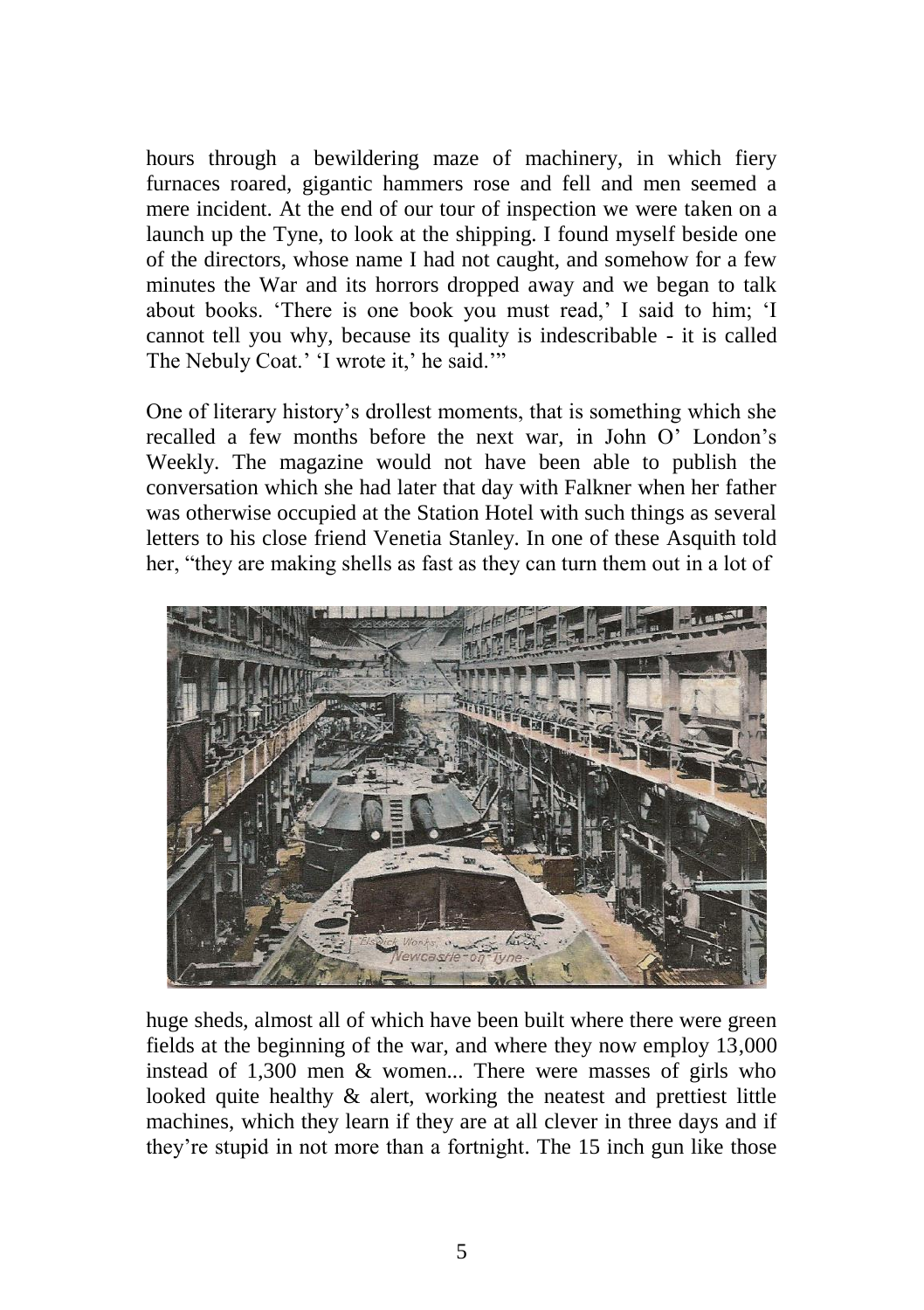hours through a bewildering maze of machinery, in which fiery furnaces roared, gigantic hammers rose and fell and men seemed a mere incident. At the end of our tour of inspection we were taken on a launch up the Tyne, to look at the shipping. I found myself beside one of the directors, whose name I had not caught, and somehow for a few minutes the War and its horrors dropped away and we began to talk about books. 'There is one book you must read,' I said to him; 'I cannot tell you why, because its quality is indescribable - it is called The Nebuly Coat.' 'I wrote it,' he said.'"

One of literary history's drollest moments, that is something which she recalled a few months before the next war, in John O' London's Weekly. The magazine would not have been able to publish the conversation which she had later that day with Falkner when her father was otherwise occupied at the Station Hotel with such things as several letters to his close friend Venetia Stanley. In one of these Asquith told her, "they are making shells as fast as they can turn them out in a lot of



huge sheds, almost all of which have been built where there were green fields at the beginning of the war, and where they now employ 13,000 instead of 1,300 men & women... There were masses of girls who looked quite healthy & alert, working the neatest and prettiest little machines, which they learn if they are at all clever in three days and if they're stupid in not more than a fortnight. The 15 inch gun like those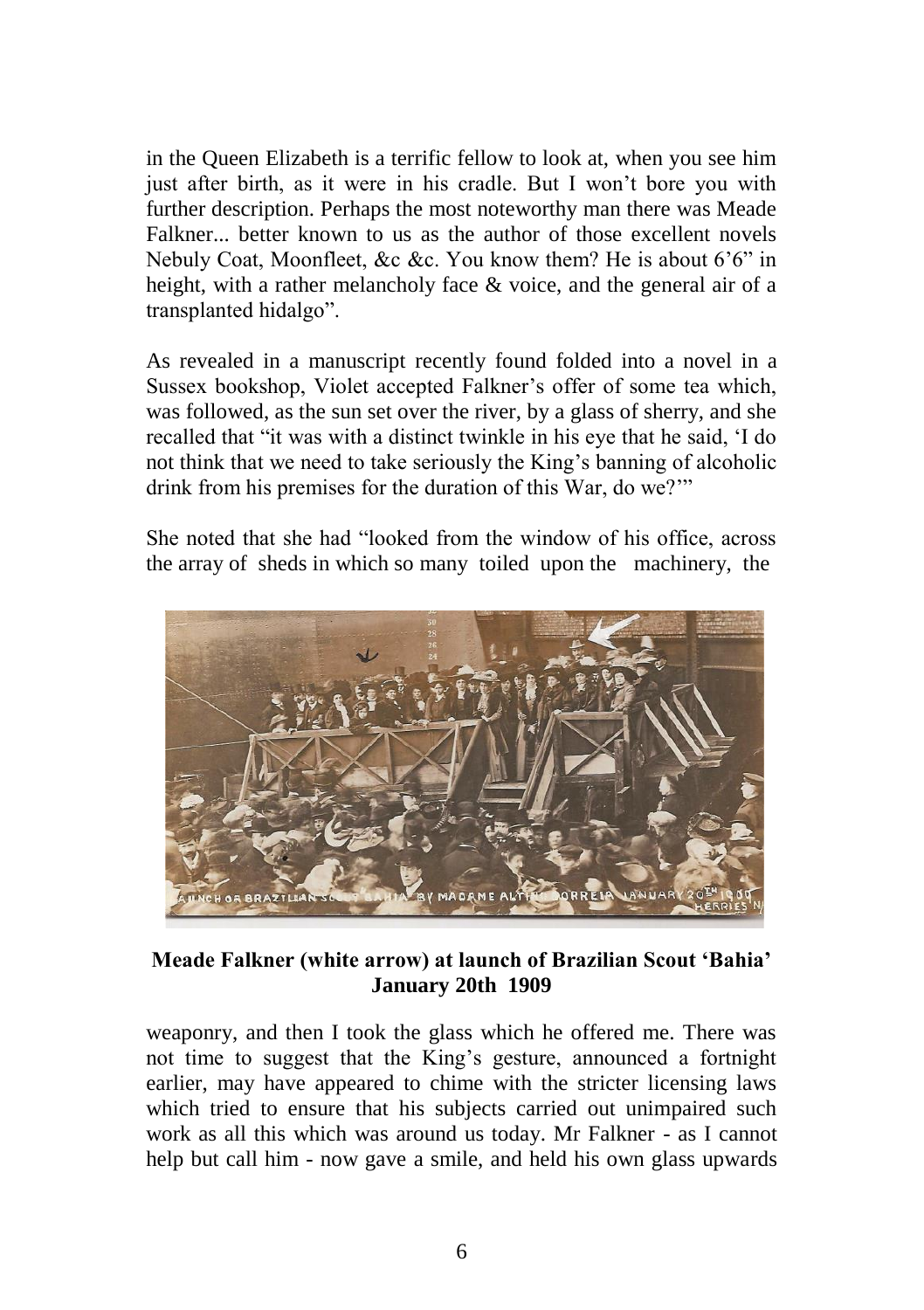in the Queen Elizabeth is a terrific fellow to look at, when you see him just after birth, as it were in his cradle. But I won't bore you with further description. Perhaps the most noteworthy man there was Meade Falkner... better known to us as the author of those excellent novels Nebuly Coat, Moonfleet, &c &c. You know them? He is about 6'6" in height, with a rather melancholy face & voice, and the general air of a transplanted hidalgo".

As revealed in a manuscript recently found folded into a novel in a Sussex bookshop, Violet accepted Falkner's offer of some tea which, was followed, as the sun set over the river, by a glass of sherry, and she recalled that "it was with a distinct twinkle in his eye that he said, 'I do not think that we need to take seriously the King's banning of alcoholic drink from his premises for the duration of this War, do we?'"

She noted that she had "looked from the window of his office, across the array of sheds in which so many toiled upon the machinery, the



## **Meade Falkner (white arrow) at launch of Brazilian Scout 'Bahia' January 20th 1909**

weaponry, and then I took the glass which he offered me. There was not time to suggest that the King's gesture, announced a fortnight earlier, may have appeared to chime with the stricter licensing laws which tried to ensure that his subjects carried out unimpaired such work as all this which was around us today. Mr Falkner - as I cannot help but call him - now gave a smile, and held his own glass upwards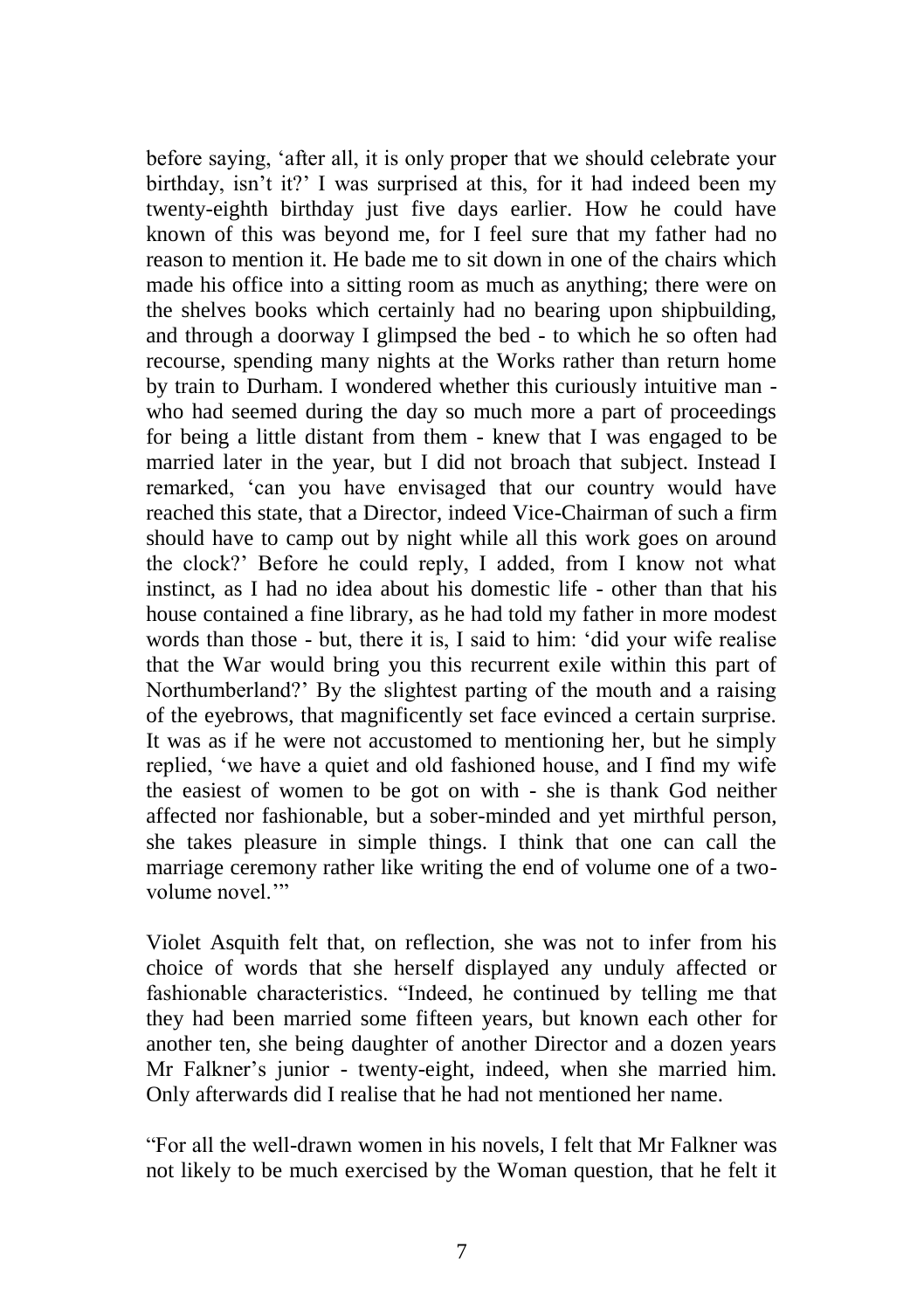before saying, 'after all, it is only proper that we should celebrate your birthday, isn't it?' I was surprised at this, for it had indeed been my twenty-eighth birthday just five days earlier. How he could have known of this was beyond me, for I feel sure that my father had no reason to mention it. He bade me to sit down in one of the chairs which made his office into a sitting room as much as anything; there were on the shelves books which certainly had no bearing upon shipbuilding, and through a doorway I glimpsed the bed - to which he so often had recourse, spending many nights at the Works rather than return home by train to Durham. I wondered whether this curiously intuitive man who had seemed during the day so much more a part of proceedings for being a little distant from them - knew that I was engaged to be married later in the year, but I did not broach that subject. Instead I remarked, 'can you have envisaged that our country would have reached this state, that a Director, indeed Vice-Chairman of such a firm should have to camp out by night while all this work goes on around the clock?' Before he could reply, I added, from I know not what instinct, as I had no idea about his domestic life - other than that his house contained a fine library, as he had told my father in more modest words than those - but, there it is, I said to him: 'did your wife realise that the War would bring you this recurrent exile within this part of Northumberland?' By the slightest parting of the mouth and a raising of the eyebrows, that magnificently set face evinced a certain surprise. It was as if he were not accustomed to mentioning her, but he simply replied, 'we have a quiet and old fashioned house, and I find my wife the easiest of women to be got on with - she is thank God neither affected nor fashionable, but a sober-minded and yet mirthful person, she takes pleasure in simple things. I think that one can call the marriage ceremony rather like writing the end of volume one of a twovolume novel."

Violet Asquith felt that, on reflection, she was not to infer from his choice of words that she herself displayed any unduly affected or fashionable characteristics. "Indeed, he continued by telling me that they had been married some fifteen years, but known each other for another ten, she being daughter of another Director and a dozen years Mr Falkner's junior - twenty-eight, indeed, when she married him. Only afterwards did I realise that he had not mentioned her name.

"For all the well-drawn women in his novels, I felt that Mr Falkner was not likely to be much exercised by the Woman question, that he felt it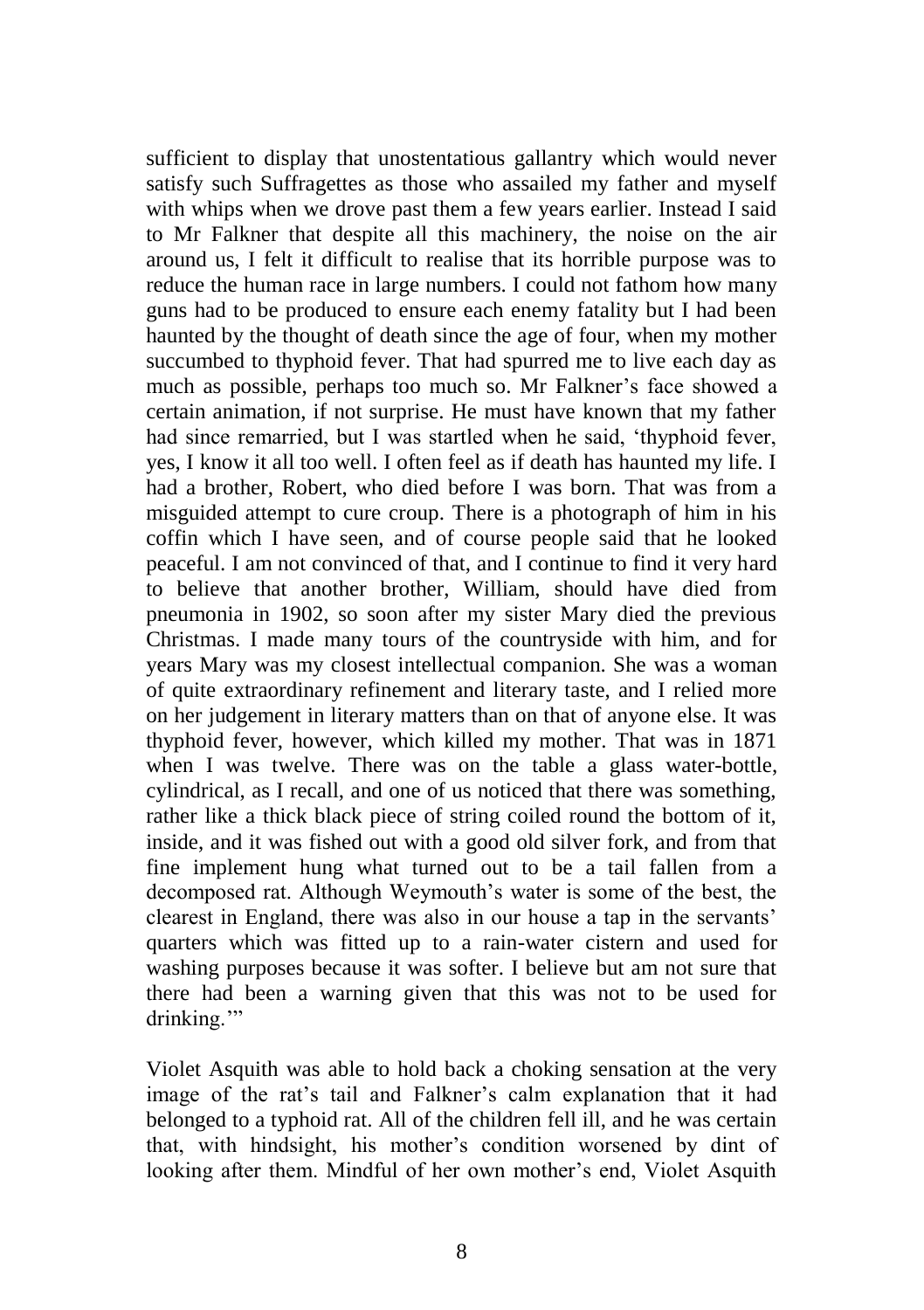sufficient to display that unostentatious gallantry which would never satisfy such Suffragettes as those who assailed my father and myself with whips when we drove past them a few years earlier. Instead I said to Mr Falkner that despite all this machinery, the noise on the air around us, I felt it difficult to realise that its horrible purpose was to reduce the human race in large numbers. I could not fathom how many guns had to be produced to ensure each enemy fatality but I had been haunted by the thought of death since the age of four, when my mother succumbed to thyphoid fever. That had spurred me to live each day as much as possible, perhaps too much so. Mr Falkner's face showed a certain animation, if not surprise. He must have known that my father had since remarried, but I was startled when he said, 'thyphoid fever, yes, I know it all too well. I often feel as if death has haunted my life. I had a brother, Robert, who died before I was born. That was from a misguided attempt to cure croup. There is a photograph of him in his coffin which I have seen, and of course people said that he looked peaceful. I am not convinced of that, and I continue to find it very hard to believe that another brother, William, should have died from pneumonia in 1902, so soon after my sister Mary died the previous Christmas. I made many tours of the countryside with him, and for years Mary was my closest intellectual companion. She was a woman of quite extraordinary refinement and literary taste, and I relied more on her judgement in literary matters than on that of anyone else. It was thyphoid fever, however, which killed my mother. That was in 1871 when I was twelve. There was on the table a glass water-bottle, cylindrical, as I recall, and one of us noticed that there was something, rather like a thick black piece of string coiled round the bottom of it, inside, and it was fished out with a good old silver fork, and from that fine implement hung what turned out to be a tail fallen from a decomposed rat. Although Weymouth's water is some of the best, the clearest in England, there was also in our house a tap in the servants' quarters which was fitted up to a rain-water cistern and used for washing purposes because it was softer. I believe but am not sure that there had been a warning given that this was not to be used for drinking."

Violet Asquith was able to hold back a choking sensation at the very image of the rat's tail and Falkner's calm explanation that it had belonged to a typhoid rat. All of the children fell ill, and he was certain that, with hindsight, his mother's condition worsened by dint of looking after them. Mindful of her own mother's end, Violet Asquith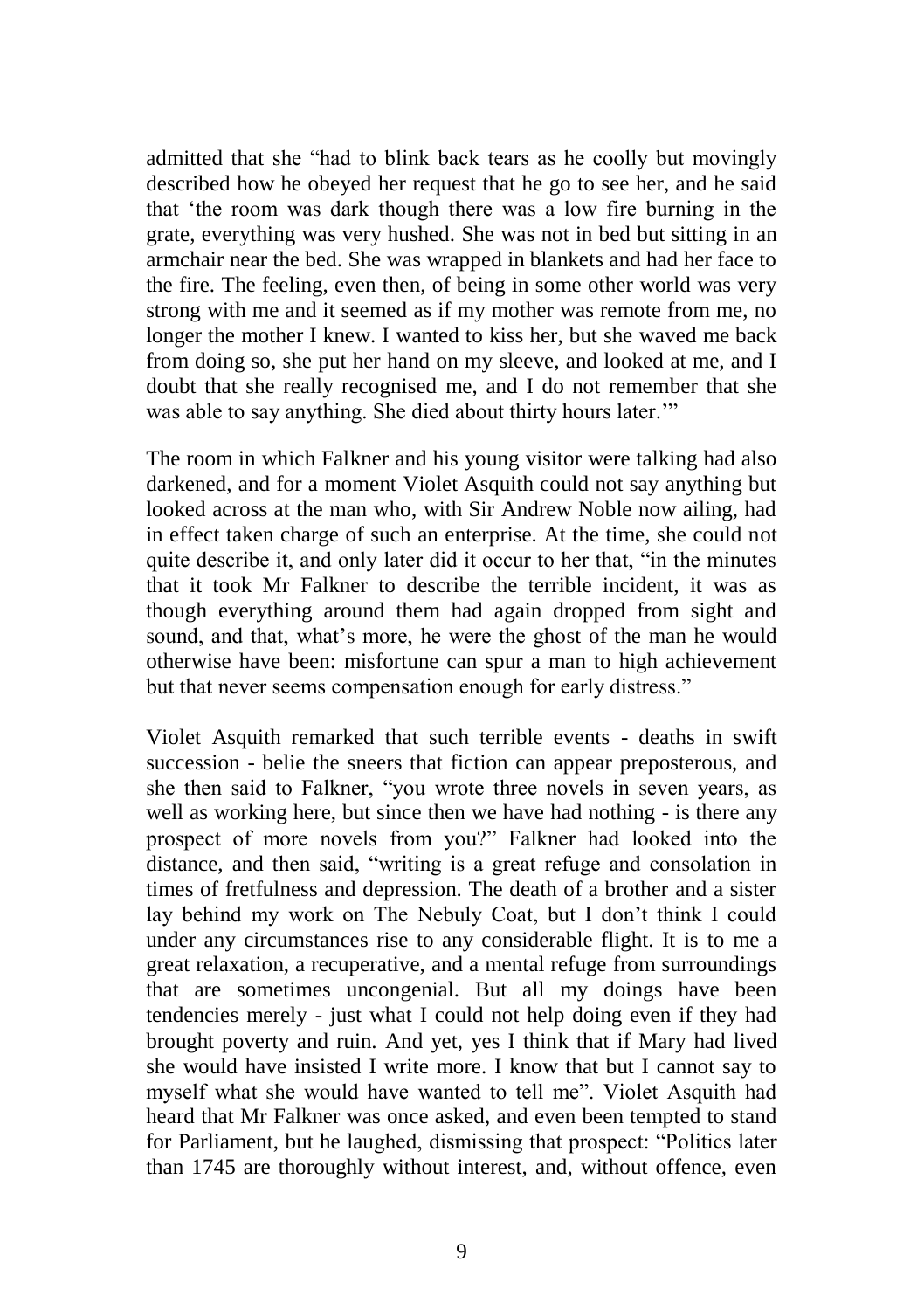admitted that she "had to blink back tears as he coolly but movingly described how he obeyed her request that he go to see her, and he said that 'the room was dark though there was a low fire burning in the grate, everything was very hushed. She was not in bed but sitting in an armchair near the bed. She was wrapped in blankets and had her face to the fire. The feeling, even then, of being in some other world was very strong with me and it seemed as if my mother was remote from me, no longer the mother I knew. I wanted to kiss her, but she waved me back from doing so, she put her hand on my sleeve, and looked at me, and I doubt that she really recognised me, and I do not remember that she was able to say anything. She died about thirty hours later."

The room in which Falkner and his young visitor were talking had also darkened, and for a moment Violet Asquith could not say anything but looked across at the man who, with Sir Andrew Noble now ailing, had in effect taken charge of such an enterprise. At the time, she could not quite describe it, and only later did it occur to her that, "in the minutes that it took Mr Falkner to describe the terrible incident, it was as though everything around them had again dropped from sight and sound, and that, what's more, he were the ghost of the man he would otherwise have been: misfortune can spur a man to high achievement but that never seems compensation enough for early distress."

Violet Asquith remarked that such terrible events - deaths in swift succession - belie the sneers that fiction can appear preposterous, and she then said to Falkner, "you wrote three novels in seven years, as well as working here, but since then we have had nothing - is there any prospect of more novels from you?" Falkner had looked into the distance, and then said, "writing is a great refuge and consolation in times of fretfulness and depression. The death of a brother and a sister lay behind my work on The Nebuly Coat, but I don't think I could under any circumstances rise to any considerable flight. It is to me a great relaxation, a recuperative, and a mental refuge from surroundings that are sometimes uncongenial. But all my doings have been tendencies merely - just what I could not help doing even if they had brought poverty and ruin. And yet, yes I think that if Mary had lived she would have insisted I write more. I know that but I cannot say to myself what she would have wanted to tell me". Violet Asquith had heard that Mr Falkner was once asked, and even been tempted to stand for Parliament, but he laughed, dismissing that prospect: "Politics later than 1745 are thoroughly without interest, and, without offence, even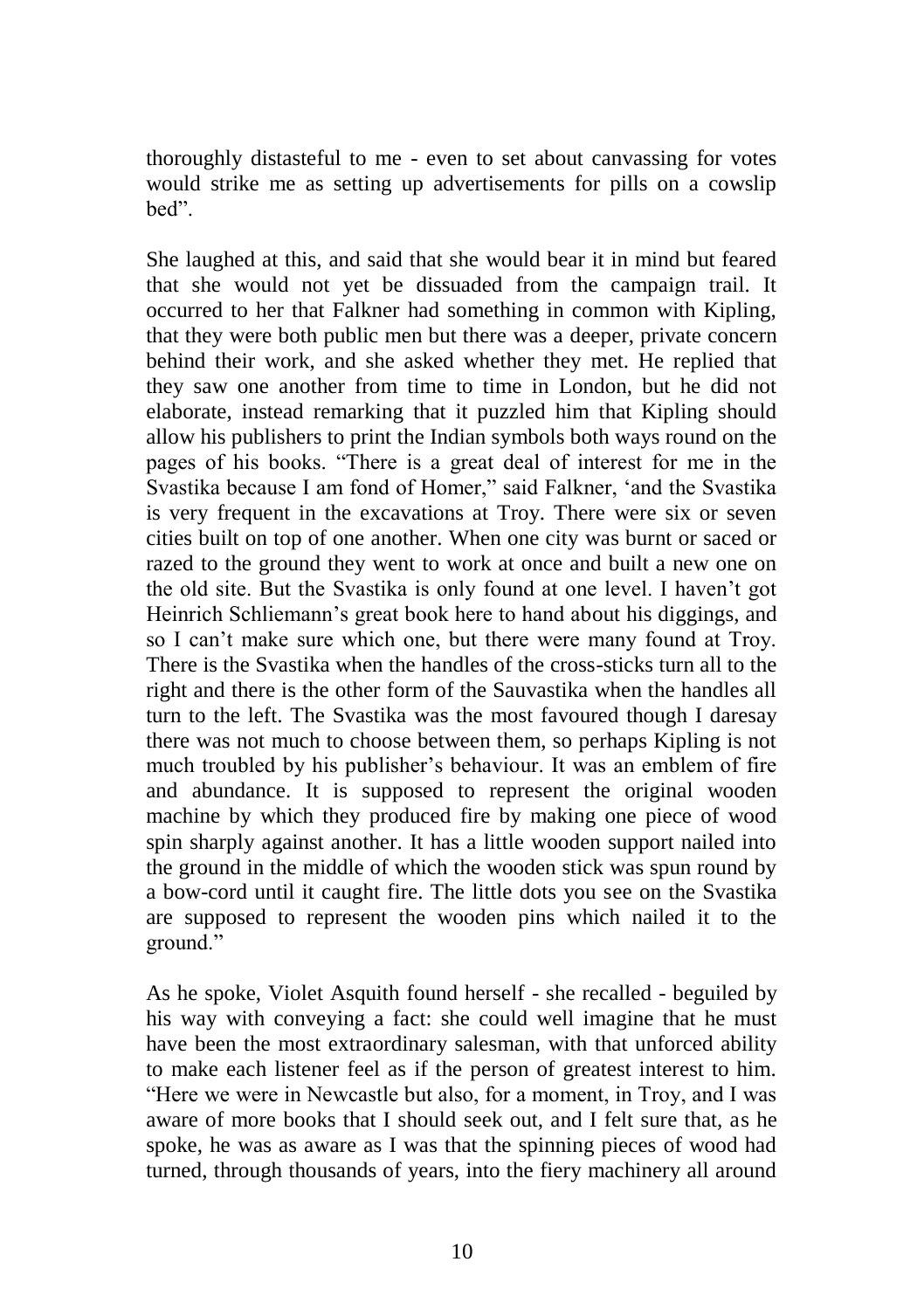thoroughly distasteful to me - even to set about canvassing for votes would strike me as setting up advertisements for pills on a cowslip bed".

She laughed at this, and said that she would bear it in mind but feared that she would not yet be dissuaded from the campaign trail. It occurred to her that Falkner had something in common with Kipling, that they were both public men but there was a deeper, private concern behind their work, and she asked whether they met. He replied that they saw one another from time to time in London, but he did not elaborate, instead remarking that it puzzled him that Kipling should allow his publishers to print the Indian symbols both ways round on the pages of his books. "There is a great deal of interest for me in the Svastika because I am fond of Homer," said Falkner, 'and the Svastika is very frequent in the excavations at Troy. There were six or seven cities built on top of one another. When one city was burnt or saced or razed to the ground they went to work at once and built a new one on the old site. But the Svastika is only found at one level. I haven't got Heinrich Schliemann's great book here to hand about his diggings, and so I can't make sure which one, but there were many found at Troy. There is the Svastika when the handles of the cross-sticks turn all to the right and there is the other form of the Sauvastika when the handles all turn to the left. The Svastika was the most favoured though I daresay there was not much to choose between them, so perhaps Kipling is not much troubled by his publisher's behaviour. It was an emblem of fire and abundance. It is supposed to represent the original wooden machine by which they produced fire by making one piece of wood spin sharply against another. It has a little wooden support nailed into the ground in the middle of which the wooden stick was spun round by a bow-cord until it caught fire. The little dots you see on the Svastika are supposed to represent the wooden pins which nailed it to the ground."

As he spoke, Violet Asquith found herself - she recalled - beguiled by his way with conveying a fact: she could well imagine that he must have been the most extraordinary salesman, with that unforced ability to make each listener feel as if the person of greatest interest to him. "Here we were in Newcastle but also, for a moment, in Troy, and I was aware of more books that I should seek out, and I felt sure that, as he spoke, he was as aware as I was that the spinning pieces of wood had turned, through thousands of years, into the fiery machinery all around